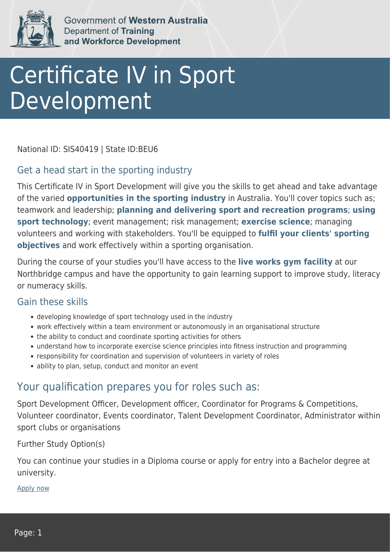

Government of Western Australia **Department of Training** and Workforce Development

# Certificate IV in Sport Development

National ID: SIS40419 | State ID:BEU6

### Get a head start in the sporting industry

This Certificate IV in Sport Development will give you the skills to get ahead and take advantage of the varied **opportunities in the sporting industry** in Australia. You'll cover topics such as; teamwork and leadership; **planning and delivering sport and recreation programs**; **using sport technology**; event management; risk management; **exercise science**; managing volunteers and working with stakeholders. You'll be equipped to **fulfil your clients' sporting objectives** and work effectively within a sporting organisation.

During the course of your studies you'll have access to the **live works gym facility** at our Northbridge campus and have the opportunity to gain learning support to improve study, literacy or numeracy skills.

#### Gain these skills

- developing knowledge of sport technology used in the industry
- work effectively within a team environment or autonomously in an organisational structure
- the ability to conduct and coordinate sporting activities for others
- understand how to incorporate exercise science principles into fitness instruction and programming
- responsibility for coordination and supervision of volunteers in variety of roles
- ability to plan, setup, conduct and monitor an event

## Your qualification prepares you for roles such as:

Sport Development Officer, Development officer, Coordinator for Programs & Competitions, Volunteer coordinator, Events coordinator, Talent Development Coordinator, Administrator within sport clubs or organisations

Further Study Option(s)

You can continue your studies in a Diploma course or apply for entry into a Bachelor degree at university.

[Apply now](https://tasonline.tafe.wa.edu.au/Default.aspx)